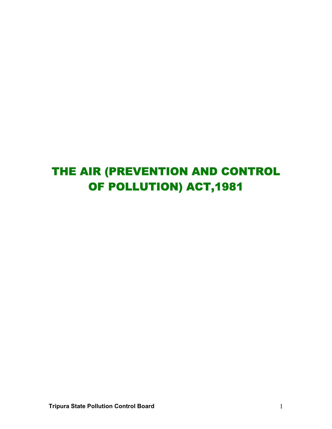# THE AIR (PREVENTION AND CONTROL OF POLLUTION) ACT,1981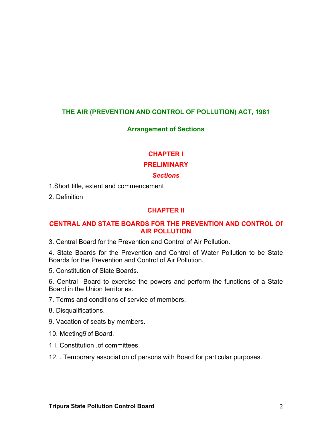# **THE AIR (PREVENTION AND CONTROL OF POLLUTION) ACT, 1981**

## **Arrangement of Sections**

# **CHAPTER I**

#### **PRELIMINARY**

#### *Sections*

1.Short title, extent and commencement

2. Definition

## **CHAPTER II**

## **CENTRAL AND STATE BOARDS FOR THE PREVENTION AND CONTROL Of AIR POLLUTION**

3. Central Board for the Prevention and Control of Air Pollution.

4. State Boards for the Prevention and Control of Water Pollution to be State Boards for the Prevention and Control of Air Pollution.

5. Constitution of Slate Boards.

6. Central Board to exercise the powers and perform the functions of a State Board in the Union territories.

- 7. Terms and conditions of service of members.
- 8. Disqualifications.
- 9. Vacation of seats by members.
- 10. Meeting9'of Board.
- 1 I. Constitution .of committees.
- 12. . Temporary association of persons with Board for particular purposes.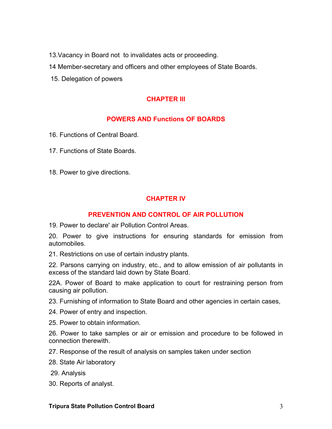- 13.Vacancy in Board not to invalidates acts or proceeding.
- 14 Member-secretary and officers and other employees of State Boards.
- 15. Delegation of powers

## **CHAPTER III**

# **POWERS AND Functions OF BOARDS**

- 16. Functions of Central Board.
- 17. Functions of State Boards.
- 18. Power to give directions.

# **CHAPTER IV**

# **PREVENTION AND CONTROL OF AIR POLLUTION**

19. Power to declare' air Pollution Control Areas.

20. Power to give instructions for ensuring standards for emission from automobiles.

21. Restrictions on use of certain industry plants.

22. Parsons carrying on industry, etc., and to allow emission of air pollutants in excess of the standard laid down by State Board.

22A. Power of Board to make application to court for restraining person from causing air pollution.

- 23. Furnishing of information to State Board and other agencies in certain cases,
- 24. Power of entry and inspection.
- 25. Power to obtain information.

26. Power to take samples or air or emission and procedure to be followed in connection therewith.

- 27. Response of the result of analysis on samples taken under section
- 28. State Air laboratory
- 29. Analysis
- 30. Reports of analyst.

#### **Tripura State Pollution Control Board** 3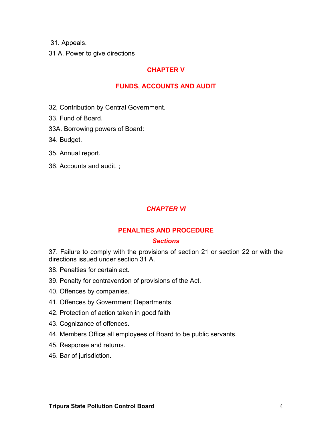31. Appeals.

31 A. Power to give directions

# **CHAPTER V**

# **FUNDS, ACCOUNTS AND AUDIT**

- 32, Contribution by Central Government.
- 33. Fund of Board.
- 33A. Borrowing powers of Board:
- 34. Budget.
- 35. Annual report.
- 36, Accounts and audit. ;

# *CHAPTER VI*

#### **PENALTIES AND PROCEDURE**

## *Sections*

37. Failure to comply with the provisions of section 21 or section 22 or with the directions issued under section 31 A.

- 38. Penalties for certain act.
- 39. Penalty for contravention of provisions of the Act.
- 40. Offences by companies.
- 41. Offences by Government Departments.
- 42. Protection of action taken in good faith
- 43. Cognizance of offences.
- 44. Members Office all employees of Board to be public servants.
- 45. Response and returns.
- 46. Bar of jurisdiction.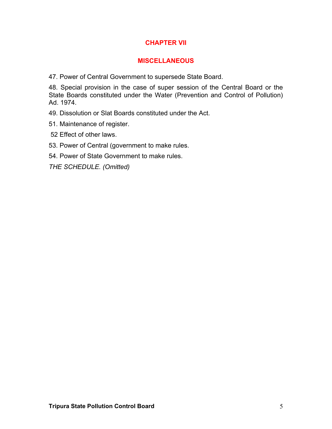## **CHAPTER VII**

## **MISCELLANEOUS**

47. Power of Central Government to supersede State Board.

48. Special provision in the case of super session of the Central Board or the State Boards constituted under the Water (Prevention and Control of Pollution) Ad. 1974.

49. Dissolution or Slat Boards constituted under the Act.

51. Maintenance of register.

52 Effect of other laws.

53. Power of Central (government to make rules.

54. Power of State Government to make rules.

*THE SCHEDULE. (Omitted)*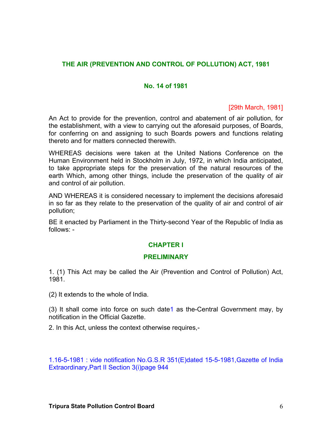# **THE AIR (PREVENTION AND CONTROL OF POLLUTION) ACT, 1981**

#### **No. 14 of 1981**

#### [29th March, 1981]

An Act to provide for the prevention, control and abatement of air pollution, for the establishment, with a view to carrying out the aforesaid purposes, of Boards, for conferring on and assigning to such Boards powers and functions relating thereto and for matters connected therewith.

WHEREAS decisions were taken at the United Nations Conference on the Human Environment held in Stockholm in July, 1972, in which India anticipated, to take appropriate steps for the preservation of the natural resources of the earth Which, among other things, include the preservation of the quality of air and control of air pollution.

AND WHEREAS it is considered necessary to implement the decisions aforesaid in so far as they relate to the preservation of the quality of air and control of air pollution;

BE it enacted by Parliament in the Thirty-second Year of the Republic of India as follows: -

#### **CHAPTER I**

#### **PRELIMINARY**

1. (1) This Act may be called the Air (Prevention and Control of Pollution) Act, 1981.

(2) It extends to the whole of India.

(3) It shall come into force on such date1 as the-Central Government may, by notification in the Official Gazette.

2. In this Act, unless the context otherwise requires,-

1.16-5-1981 : vide notification No.G.S.R 351(E)dated 15-5-1981,Gazette of India Extraordinary,Part II Section 3(i)page 944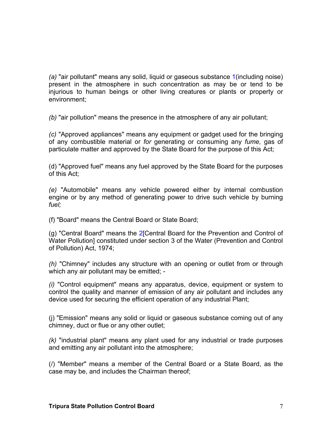*(a)* "air pollutant" means any solid, liquid or gaseous substance 1(including noise) present in the atmosphere in such concentration as may be or tend to be injurious to human beings or other living creatures or plants or property or environment;

*(b)* "air pollution" means the presence in the atmosphere of any air pollutant;

*(c)* "Approved appliances" means any equipment or gadget used for the bringing of any combustible material or *for* generating or consuming any *fume,* gas of particulate matter and approved by the State Board for the purpose of this Act;

(d) "Approved fuel" means any fuel approved by the State Board for the purposes of this Act;

*(e)* "Automobile" means any vehicle powered either by internal combustion engine or by any method of generating power to drive such vehicle by burning *fuel;* 

(f) "Board" means the Central Board or State Board;

(g) "Central Board" means the 2[Central Board for the Prevention and Control of Water Pollution] constituted under section 3 of the Water (Prevention and Control of Pollution) Act, 1974;

*(h)* "Chimney" includes any structure with an opening or outlet from or through which any air pollutant may be emitted; -

*(i)* "Control equipment" means any apparatus, device, equipment or system to control the quality and manner of emission of any air pollutant and includes any device used for securing the efficient operation of any industrial Plant;

(j) "Emission" means any solid or liquid or gaseous substance coming out of any chimney, duct or flue or any other outlet;

*(k)* "industrial plant" means any plant used for any industrial or trade purposes and emitting any air pollutant into the atmosphere;

(/) "Member" means a member of the Central Board or a State Board, as the case may be, and includes the Chairman thereof;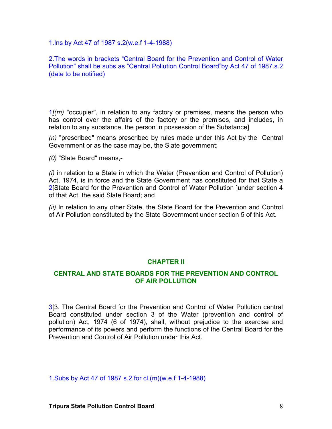1.Ins by Act 47 of 1987 s.2(w.e.f 1-4-1988)

2.The words in brackets "Central Board for the Prevention and Control of Water Pollution" shall be subs as "Central Pollution Control Board"by Act 47 of 1987.s.2 (date to be notified)

1*[(m)* "occupier", in relation to any factory or premises, means the person who has control over the affairs of the factory or the premises, and includes, in relation to any substance, the person in possession of the Substance]

*(n)* "prescribed" means prescribed by rules made under this Act by the Central Government or as the case may be, the Slate government;

*(0)* "Slate Board" means,-

*(i)* in relation to a State in which the Water (Prevention and Control of Pollution) Act, 1974, is in force and the State Government has constituted for that State a 2[State Board for the Prevention and Control of Water Pollution ]under section 4 of that Act, the said Slate Board; and

*(ii)* In relation to any other State, the State Board for the Prevention and Control of Air Pollution constituted by the State Government under section 5 of this Act.

# **CHAPTER II**

#### **CENTRAL AND STATE BOARDS FOR THE PREVENTION AND CONTROL OF AIR POLLUTION**

3[3. The Central Board for the Prevention and Control of Water Pollution central Board constituted under section 3 of the Water (prevention and control of pollution) Act, 1974 (6 of 1974), shall, without prejudice to the exercise and performance of its powers and perform the functions of the Central Board for the Prevention and Control of Air Pollution under this Act.

1.Subs by Act 47 of 1987 s.2.for cl.(m)(w.e.f 1-4-1988)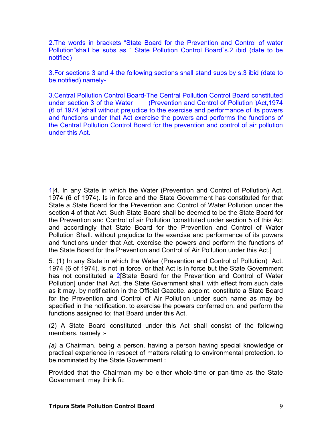2.The words in brackets "State Board for the Prevention and Control of water Pollution"shall be subs as " State Pollution Control Board"s.2 ibid (date to be notified)

3.For sections 3 and 4 the following sections shall stand subs by s.3 ibid (date to be notified) namely-

3.Central Pollution Control Board-The Central Pollution Control Board constituted under section 3 of the Water (Prevention and Control of Pollution )Act,1974 (6 of 1974 )shall without prejudice to the exercise and performance of its powers and functions under that Act exercise the powers and performs the functions of the Central Pollution Control Board for the prevention and control of air pollution under this Act.

1[4. In any State in which the Water (Prevention and Control of Pollution) Act. 1974 (6 of 1974). Is in force and the State Government has constituted for that State a State Board for the Prevention and Control of Water Pollution under the section 4 of that Act. Such State Board shall be deemed to be the State Board for the Prevention and Control of air Pollution 'constituted under section 5 of this Act and accordingly that State Board for the Prevention and Control of Water Pollution Shall. without prejudice to the exercise and performance of its powers and functions under that Act. exercise the powers and perform the functions of the State Board for the Prevention and Control of Air Pollution under this Act.]

5. (1) In any State in which the Water (Prevention and Control of Pollution) Act. 1974 (6 of 1974). is not in force. or that Act is in force but the State Government has not constituted a 2[State Board for the Prevention and Control of Water Pollution] under that Act, the State Government shall. with effect from such date as it may. by notification in the Official Gazette. appoint. constitute a State Board for the Prevention and Control of Air Pollution under such name as may be specified in the notification. to exercise the powers conferred on. and perform the functions assigned to; that Board under this Act.

(2) A State Board constituted under this Act shall consist of the following members. namely :-

*(a)* a Chairman. being a person. having a person having special knowledge or practical experience in respect of matters relating to environmental protection. to be nominated by the State Government :

Provided that the Chairman my be either whole-time or pan-time as the State Government may think fit;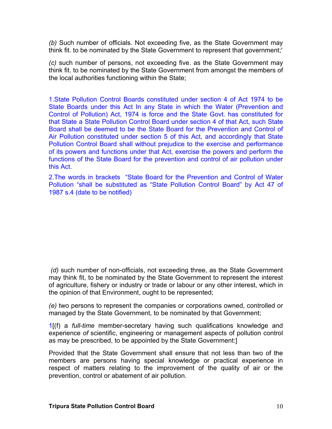*(b)* Such number of officials. Not exceeding five, as the State Government may think fit. to be nominated by the State Government to represent that government;'

*(c)* such number of persons, not exceeding five. as the State Government may think fit. to be nominated by the State Government from amongst the members of the local authorities functioning within the State;

1.State Pollution Control Boards constituted under section 4 of Act 1974 to be State Boards under this Act In any State in which the Water (Prevention and Control of Pollution) Act, 1974 is force and the State Govt. has constituted for that State a State Pollution Control Board under section 4 of that Act, such State Board shall be deemed to be the State Board for the Prevention and Control of Air Pollution constituted under section 5 of this Act, and accordingly that State Pollution Control Board shall without prejudice to the exercise and performance of its powers and functions under that Act, exercise the powers and perform the functions of the State Board for the prevention and control of air pollution under this Act.

2.The words in brackets "State Board for the Prevention and Control of Water Pollution "shall be substituted as "State Pollution Control Board" by Act 47 of 1987 s.4 (date to be notified)

 *(d)* such number of non-officials, not exceeding three, as the State Government may think fit, to be nominated by the State Government to represent the interest of agriculture, fishery or industry or trade or labour or any other interest, which in the opinion of that Environment, ought to be represented;

*(e)* two persons to represent the companies or corporations owned, controlled or managed by the State Government, to be nominated by that Government;

1[(f) a *full-time* member-secretary having such qualifications knowledge and experience *of* scientific, engineering or management aspects of pollution control as may be prescribed, to be appointed by the State Government:]

Provided that the State Government shall ensure that not less than two of the members are persons having special knowledge or practical experience in respect of matters relating to the improvement of the quality of air or the prevention, control or abatement of air pollution.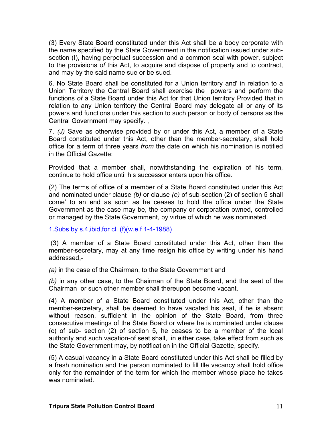(3) Every State Board constituted under this Act shall be a body corporate with the name specified by the State Government in the notification issued under subsection (I), having perpetual succession and a common seal with power, subject to the provisions *of* this Act, to acquire and dispose of property and to contract, and may by the said name sue or be sued.

6. No State Board shall be constituted for a Union territory and' in relation to a Union Territory the Central Board shall exercise the powers and perform the functions *of* a State Board under this Act for that Union territory Provided that in relation to any Union territory the Central Board may delegate all or any of its powers and functions under this section to such person or body of persons as the Central Government may specify. ,

7. *(J)* Save as otherwise provided by or under this Act, a member of a State Board constituted under this Act, other than the member-secretary, shall hold office for a term of three years *from* the date on which his nomination is notified in the Official Gazette:

Provided that a member shall, notwithstanding the expiration of his term, continue to hold office until his successor enters upon his office.

(2) The terms of office of a member of a State Board constituted under this Act and nominated under clause *(b)* or clause *(e)* of sub-section (2) of section 5 shall come' to an end as soon as he ceases to hold the office under the State Government as the case may be, the company or corporation owned, controlled or managed by the State Government, by virtue of which he was nominated.

#### 1.Subs by s.4,ibid,for cl. (f)(w.e.f 1-4-1988)

(3) A member of a State Board constituted under this Act, other than the member-secretary, may at any time resign his office by writing under his hand addressed,-

*(a)* in the case of the Chairman, to the State Government and

*(b)* in any other case, to the Chairman of the State Board, and the seat of the Chairman or such other member shall thereupon become vacant.

(4) A member of a State Board constituted under this Act, other than the member-secretary, shall be deemed to have vacated his seat, if he is absent without reason, sufficient in the opinion of the State Board, from three consecutive meetings of the State Board or where he is nominated under clause (c) of sub- section (2) of section 5, he ceases to be a member of the local authority and such vacation-of seat shall,. in either case, take effect from such as the State Government may, by notification in the Official Gazette, specify.

(5) A casual vacancy in a State Board constituted under this Act shall be filled by a fresh nomination and the person nominated to fill tlle vacancy shall hold office only for the remainder of the term for which the member whose place he takes was nominated.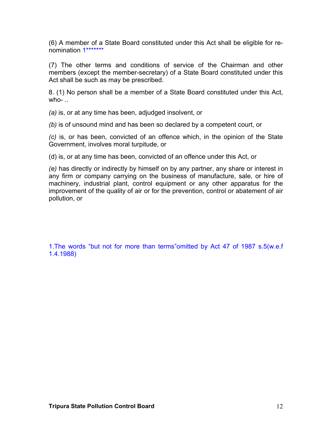(6) A member of a State Board constituted under this Act shall be eligible for renomination 1\*\*\*\*\*\*\*

(7) The other terms and conditions of service of the Chairman and other members (except the member-secretary) of a State Board constituted under this Act shall be such as may be prescribed.

8. (1) No person shall be a member of a State Board constituted under this Act,  $w$ ho- $\ldots$ 

*(a)* is, or at any time has been, adjudged insolvent, or

*(b)* is of unsound mind and has been so declared by a competent court, or

*(c)* is, or has been, convicted of an offence which, in the opinion of the State Government, involves moral turpitude, or

(d) is, or at any time has been, convicted of an offence under this Act, or

*(e)* has directly or indirectly by himself on by any partner, any share or interest in any firm or company carrying on the business of manufacture, sale, or hire of machinery, industrial plant, control equipment or any other apparatus for the improvement of the quality of air or for the prevention, control or abatement of air pollution, or

1.The words "but not for more than terms"omitted by Act 47 of 1987 s.5(w.e.f 1.4.1988)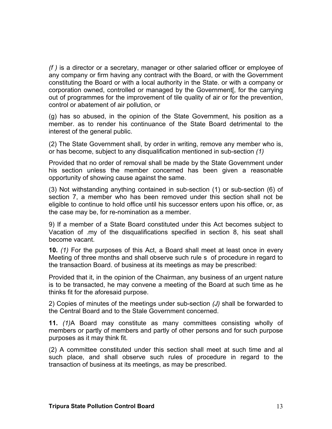*(f )* is a director or a secretary, manager or other salaried officer or employee of any company or firm having any contract with the Board, or with the Government constituting the Board or with a local authority in the State. or with a company or corporation owned, controlled or managed by the Government[, for the carrying out of programmes for the improvement of tile quality of air or for the prevention, control or abatement of air pollution, or

(g) has so abused, in the opinion of the State Government, his position as a member. as to render his continuance of the State Board detrimental to the interest of the general public.

(2) The State Government shall, by order in writing, remove any member who is, or has become, subject to any disqualification mentioned in sub-section *(1)* 

Provided that no order of removal shall be made by the State Government under his section unless the member concerned has been given a reasonable opportunity of showing cause against the same.

(3) Not withstanding anything contained in sub-section (1) or sub-section (6) of section 7, a member who has been removed under this section shall not be eligible to continue to hold office until his successor enters upon his office, or, as the case may be, for re-nomination as a member.

9) If a member of a State Board constituted under this Act becomes subject to Vacation of .my of the disqualifications specified in section 8, his seat shall become vacant.

**10.** *(1)* For the purposes of this Act, a Board shall meet at least once in every Meeting of three months and shall observe such rule s of procedure in regard to the transaction Board. of business at its meetings as may be prescribed:

Provided that it, in the opinion of the Chairman, any business of an urgent nature is to be transacted, he may convene a meeting of the Board at such time as he thinks fit for the aforesaid purpose.

2) Copies of minutes of the meetings under sub-section *(J)* shall be forwarded to the Central Board and to the Stale Government concerned.

**11.** *(1)*A Board may constitute as many committees consisting wholly of members or partly of members and partly of other persons and for such purpose purposes as it may think fit.

(2) A committee constituted under this section shall meet at such time and al such place, and shall observe such rules of procedure in regard to the transaction of business at its meetings, as may be prescribed.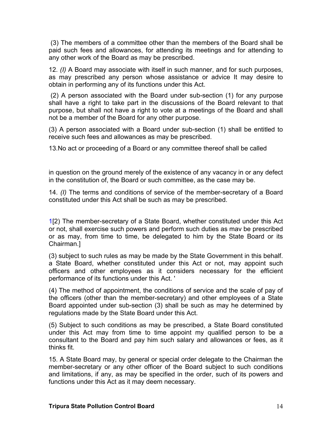(3) The members of a committee other than the members of the Board shall be paid such fees and allowances, for attending its meetings and for attending to any other work of the Board as may be prescribed.

12. *(I)* A Board may associate with itself in such manner, and for such purposes, as may prescribed any person whose assistance or advice It may desire to obtain in performing any of its functions under this Act.

(2) A person associated with the Board under sub-section (1) for any purpose shall have a right to take part in the discussions of the Board relevant to that purpose, but shall not have a right to vote at a meetings of the Board and shall not be a member of the Board for any other purpose.

(3) A person associated with a Board under sub-section (1) shall be entitled to receive such fees and allowances as may be prescribed.

13.No act or proceeding of a Board or any committee thereof shall be called

in question on the ground merely of the existence of any vacancy in or any defect in the constitution of, the Board or such committee, as the case may be.

14. *(I)* The terms and conditions of service of the member-secretary of a Board constituted under this Act shall be such as may be prescribed.

1[2) The member-secretary of a State Board, whether constituted under this Act or not, shall exercise such powers and perform such duties as mav be prescribed or as may, from time to time, be delegated to him by the State Board or its Chairman.]

(3) subject to such rules as may be made by the State Government in this behalf. a State Board, whether constituted under this Act or not, may appoint such officers and other employees as it considers necessary for the efficient performance of its functions under this Act. '

(4) The method of appointment, the conditions of service and the scale of pay of the officers (other than the member-secretary) and other employees of a State Board appointed under sub-section (3) shall be such as may he determined by regulations made by the State Board under this Act.

(5) Subject to such conditions as may be prescribed, a State Board constituted under this Act may from time to time appoint my qualified person to be a consultant to the Board and pay him such salary and allowances or fees, as it thinks fit.

15. A State Board may, by general or special order delegate to the Chairman the member-secretary or any other officer of the Board subject to such conditions and limitations, if any, as may be specified in the order, such of its powers and functions under this Act as it may deem necessary.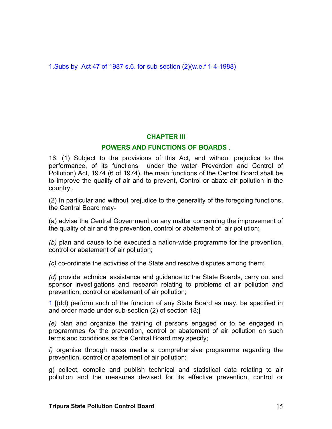1.Subs by Act 47 of 1987 s.6. for sub-section (2)(w.e.f 1-4-1988)

## **CHAPTER III**

#### **POWERS AND FUNCTIONS OF BOARDS .**

16. (1) Subject to the provisions of this Act, and without prejudice to the performance, of its functions under the water Prevention and Control of Pollution) Act, 1974 (6 of 1974), the main functions of the Central Board shall be to improve the quality of air and to prevent, Control or abate air pollution in the country .

(2) In particular and without prejudice to the generality of the foregoing functions, the Central Board may-

(a) advise the Central Government on any matter concerning the improvement of the quality of air and the prevention, control or abatement of air pollution;

*(b)* plan and cause to be executed a nation-wide programme for the prevention, control or abatement of air pollution;

*(c)* co-ordinate the activities of the State and resolve disputes among them;

*(d)* provide technical assistance and guidance to the State Boards, carry out and sponsor investigations and research relating to problems of air pollution and prevention, control or abatement of air pollution;

1 [(dd) perform such of the function of any State Board as may, be specified in and order made under sub-section (2) of section 18;]

*(e)* plan and organize the training of persons engaged or to be engaged in programmes *for* the prevention, control or abatement of air pollution on such terms and conditions as the Central Board may specify;

*f)* organise through mass media a comprehensive programme regarding the prevention, control or abatement of air pollution;

g) collect, compile and publish technical and statistical data relating to air pollution and the measures devised for its effective prevention, control or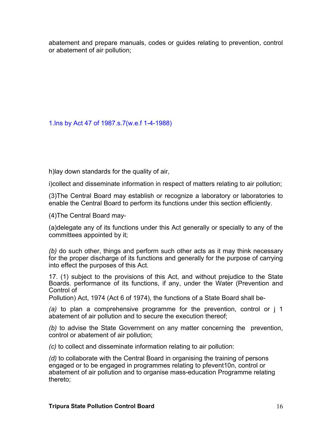abatement and prepare manuals, codes or guides relating to prevention, control or abatement of air pollution;

1.Ins by Act 47 of 1987.s.7(w.e.f 1-4-1988)

h)lay down standards for the quality of air,

i)collect and disseminate information in respect of matters relating to air pollution;

(3)The Central Board may establish or recognize a laboratory or laboratories to enable the Central Board to perform its functions under this section efficiently.

(4)The Central Board may-

(a)delegate any of its functions under this Act generally or specially to any of the committees appointed by it;

*(b)* do such other, things and perform such other acts as it may think necessary for the proper discharge of its functions and generally for the purpose of carrying into effect the purposes of this Act.

17. (1) subject to the provisions of this Act, and without prejudice to the State Boards. performance of its functions, if any, under the Water (Prevention and Control of

Pollution) Act, 1974 (Act 6 of 1974), the functions of a State Board shall be-

*(a)* to plan a comprehensive programme for the prevention, control or j 1 abatement of air pollution and to secure the execution thereof;

*(b)* to advise the State Government on any matter concerning the prevention, control or abatement of air pollution;

*(c)* to collect and disseminate information relating to air pollution:

*(d)* to collaborate with the Central Board in organising the training of persons engaged or to be engaged in programmes relating to pfevent10n, control or abatement of air pollution and to organise mass-education Programme relating thereto;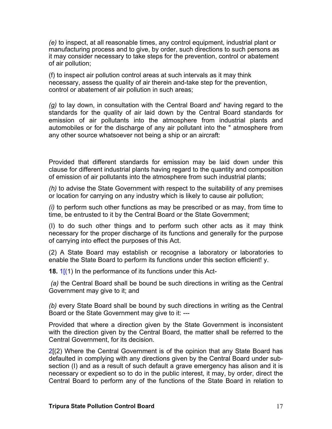*(e)* to inspect, at all reasonable times, any control equipment, industrial plant or manufacturing process and to give, by order, such directions to such persons as it may consider necessary to take steps for the prevention, control or abatement of air pollution;

(f) to inspect air pollution control areas at such intervals as it may think necessary, assess the quality of air therein and-take step for the prevention, control or abatement of air pollution in such areas;

*(g)* to lay down, in consultation with the Central Board and' having regard to the standards for the quality of air laid down by the Central Board standards for emission of air pollutants into the atmosphere from industrial plants and automobiles or for the discharge of any air pollutant into the " atmosphere from any other source whatsoever not being a ship or an aircraft:

Provided that different standards for emission may be laid down under this clause for different industrial plants having regard to the quantity and composition of emission of air pollutants into the atmosphere from such industrial plants;

*(h)* to advise the State Government with respect to the suitability of any premises or location for carrying on any industry which is likely to cause air pollution;

*(i)* to perform such other functions as may be prescribed or as may, from time to time, be entrusted to it by the Central Board or the State Government;

(I) to do such other things and to perform such other acts as it may think necessary for the proper discharge of its functions and generally for the purpose of carrying into effect the purposes of this Act.

(2) A State Board may establish or recognise a laboratory or laboratories to enable the State Board to perform its functions under this section efficient! y.

**18.** 1[(1) In the performance of its functions under this Act-

 *(a)* the Central Board shall be bound be such directions in writing as the Central Government may give to it; and

*(b)* every State Board shall be bound by such directions in writing as the Central Board or the State Government may give to it: ---

Provided that where a direction given by the State Government is inconsistent with the direction given by the Central Board, the matter shall be referred to the Central Government, for its decision.

 $2(2)$  Where the Central Government is of the opinion that any State Board has defaulted in complying with any directions given by the Central Board under subsection (I) and as a result of such default a grave emergency has alison and it is necessary or expedient so to do in the public interest, it may, by order, direct the Central Board to perform any of the functions of the State Board in relation to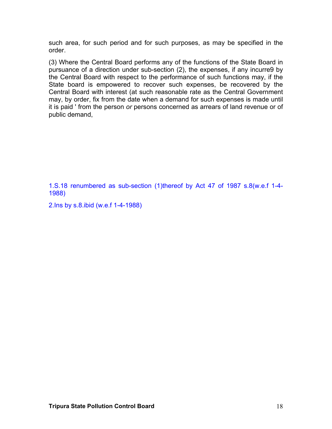such area, for such period and for such purposes, as may be specified in the order.

(3) Where the Central Board performs any of the functions of the State Board in pursuance of a direction under sub-section (2), the expenses, if any incurre9 by the Central Board with respect to the performance of such functions may, if the State board is empowered to recover such expenses, be recovered by the Central Board with interest (at such reasonable rate as the Central Government may, by order, fix from the date when a demand for such expenses is made until it is paid ' from the person *or* persons concerned as arrears of land revenue or of public demand,

1.S.18 renumbered as sub-section (1)thereof by Act 47 of 1987 s.8(w.e.f 1-4- 1988)

2.Ins by s.8.ibid (w.e.f 1-4-1988)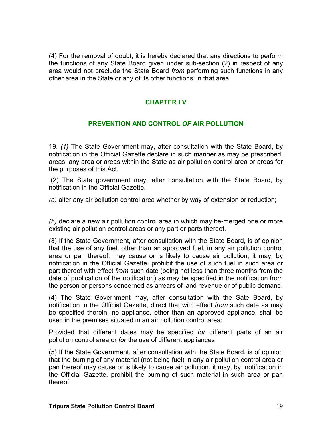(4) For the removal of doubt, it is hereby declared that any directions to perform the functions of any State Board given under sub-section (2) in respect of any area would not preclude the State Board *from* performing such functions in any other area in the State or any of its other functions' in that area,

## **CHAPTER I V**

# **PREVENTION AND CONTROL** *OF* **AIR POLLUTION**

19. *(1)* The State Government may, after consultation with the State Board, by notification in the Official Gazette declare in such manner as may be prescribed, areas. any area or areas within the State as air pollution control area or areas for the purposes of this Act.

(2) The State government may, after consultation with the State Board, by notification in the Official Gazette,-

*(a)* alter any air pollution control area whether by way of extension or reduction;

*(b)* declare a new air pollution control area in which may be-merged one or more existing air pollution control areas or any part or parts thereof.

(3) If the State Government, after consultation with the State Board, is of opinion that the use of any fuel, other than an approved fuel, in any air pollution control area or pan thereof, may cause or is likely to cause air pollution, it may, by notification in the Official Gazette, prohibit the use of such fuel in such area or part thereof with effect *from* such date (being not less than three months from the date of publication of the notification) as may be specified in the notification from the person or persons concerned as arrears of land revenue or of public demand.

(4) The State Government may, after consultation with the Sate Board, by notification in the Official Gazette, direct that with effect *from* such date as may be specified therein, no appliance, other than an approved appliance, shall be used in the premises situated in an air pollution control area:

Provided that different dates may be specified *for* different parts of an air pollution control area or *for* the use of different appliances

(5) If the State Government, after consultation with the State Board, is of opinion that the burning of any material (not being fuel) in any air pollution control area or pan thereof may cause or is likely to cause air pollution, it may, by notification in the Official Gazette, prohibit the burning of such material in such area or pan thereof.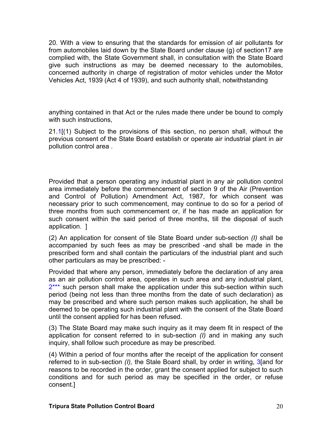20. With a view to ensuring that the standards for emission of air pollutants for from automobiles laid down by the State Board under clause (g) of section17 are complied with, the State Government shall, in consultation with the State Board give such instructions as may be deemed necessary to the automobiles, concerned authority in charge of registration of motor vehicles under the Motor Vehicles Act, 1939 (Act 4 of 1939), and such authority shall, notwithstanding

anything contained in that Act or the rules made there under be bound to comply with such instructions.

21.1[(1) Subject to the provisions of this section, no person shall, without the previous consent of the State Board establish or operate air industrial plant in air pollution control area .

Provided that a person operating any industrial plant in any air pollution control area immediately before the commencement of section 9 of the Air (Prevention and Control of Pollution) Amendment Act, 1987, for which consent was necessary prior to such commencement, may continue to do so for a period of three months from such commencement or, if he has made an application for such consent within the said period of three months, till the disposal of such application. ]

(2) An application for consent of tile State Board under sub-section *(I)* shall be accompanied by such fees as may be prescribed -and shall be made in the prescribed form and shall contain the particulars of the industrial plant and such other particulars as may be prescribed: -

Provided that where any person, immediately before the declaration of any area as an air pollution control area, operates in such area and any industrial plant,  $2***$  such person shall make the application under this sub-section within such period (being not less than three months from the date of such declaration) as may be prescribed and where such person makes such application, he shall be deemed to be operating such industrial plant with the consent of the State Board until the consent applied for has been refused.

(3) The State Board may make such inquiry as it may deem fit in respect of the application for consent referred to in sub-section *(I)* and in making any such inquiry, shall follow such procedure as may be prescribed.

(4) Within a period of four months after the receipt of the application for consent referred to in sub-section *(I),* the Stale Board shall, by order in writing, 3[and for reasons to be recorded in the order, grant the consent applied for subject to such conditions and for such period as may be specified in the order, or refuse consent.]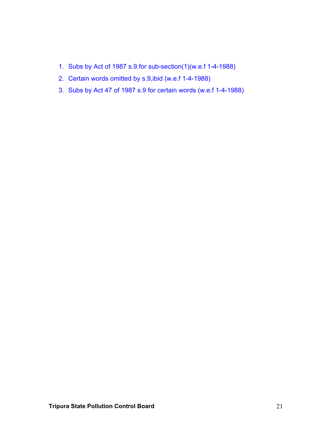- 1. Subs by Act of 1987 s.9.for sub-section(1)(w.e.f 1-4-1988)
- 2. Certain words omitted by s.9,ibid (w.e.f 1-4-1988)
- 3. Subs by Act 47 of 1987 s.9 for certain words (w.e.f 1-4-1988)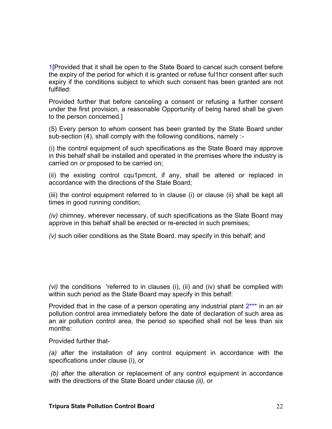1[Provided that it shall be open to the State Board to cancel such consent before the expiry of the period for which it is granted or refuse ful1hcr consent after such expiry if the conditions subject to which such consent has been granted are not fulfilled:

Provided further that before canceling a consent or refusing a further consent under the first provision, a reasonable Opportunity of being hared shall be given to the person concerned.]

(5) Every person to whom consent has been granted by the State Board under sub-section (4), shall comply with the following conditions, namely :-

(i) the control equipment of such specifications as the State Board may approve in this behalf shall be installed and operated in the premises where the industry is carried on *or* proposed to be carried on;

(ii) the existing control cqu1pmcnt, if any, shall be altered or replaced in accordance with the directions of the Stale Board;

(iii) the control equipment referred to in clause (i) or clause (ii) shall be kept all times in good running condition;

*(iv)* chimney, wherever necessary, of such specifications as the Slate Board may approve in this behalf shall be erected or re-erected in such premises;

*(v)* such oilier conditions as the State Board. may specify in this behalf; and

*(vi)* the conditions 'referred to in clauses (i), (ii) and (iv) shall be complied with within such period as the State Board may specify in this behalf:

Provided that in the case of a person operating any industrial plant  $2***$  in an air pollution control area immediately before the date of declaration of such area as an air pollution control area, the period so specified shall not be less than six months:

Provided further that-

*(a)* after the installation of any control equipment in accordance with the specifications under clause (i), or

 *(b)* after the alteration or replacement of any control equipment in accordance with the directions of the State Board under clause *(ii),* or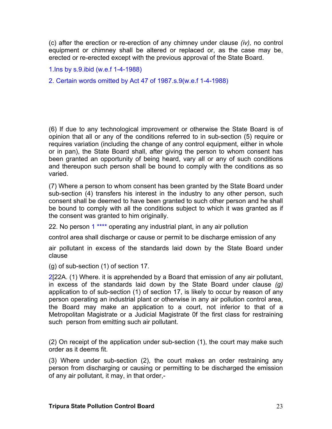(c) after the erection or re-erection of any chimney under clause *(iv),* no control equipment or chimney shall be altered or replaced or, as the case may be, erected or re-erected except with the previous approval of the State Board.

#### 1.Ins by s.9.ibid (w.e.f 1-4-1988)

#### 2. Certain words omitted by Act 47 of 1987.s.9(w.e.f 1-4-1988)

(6) If due to any technological improvement or otherwise the State Board is of opinion that all or any of the conditions referred to in sub-section (5) require or requires variation (including the change of any control equipment, either in whole or in pan), the State Board shall, after giving the person to whom consent has been granted an opportunity of being heard, vary all or any of such conditions and thereupon such person shall be bound to comply with the conditions as so varied.

(7) Where a person to whom consent has been granted by the State Board under sub-section (4) transfers his interest in the industry to any other person, such consent shall be deemed to have been granted to such other person and he shall be bound to comply with all the conditions subject to which it was granted as if the consent was granted to him originally.

22. No person 1 \*\*\*\* operating any industrial plant, in any air pollution

control area shall discharge or cause or permit to be discharge emission of any

air pollutant in excess of the standards laid down by the State Board under clause

(g) of sub-section (1) of section 17.

2[22A. (1) Where. it is apprehended by a Board that emission of any air pollutant, in excess of the standards laid down by the State Board under clause *(g)*  application to of sub-section (1) of section 17, is likely to occur by reason of any person operating an industrial plant or otherwise in any air pollution control area, the Board may make an application to a court, not inferior to that of a Metropolitan Magistrate or a Judicial Magistrate 0f the first class for restraining such person from emitting such air pollutant.

(2) On receipt of the application under sub-section (1), the court may make such order as it deems fit.

(3) Where under sub-section (2), the court makes an order restraining any person from discharging or causing or permitting to be discharged the emission of any air pollutant, it may, in that order,-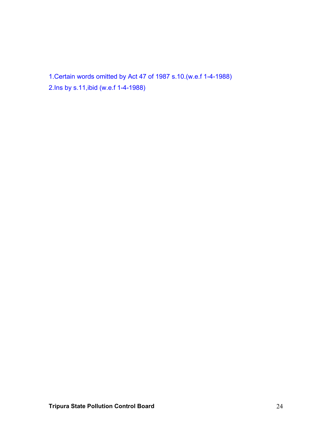1.Certain words omitted by Act 47 of 1987 s.10.(w.e.f 1-4-1988) 2.Ins by s.11,ibid (w.e.f 1-4-1988)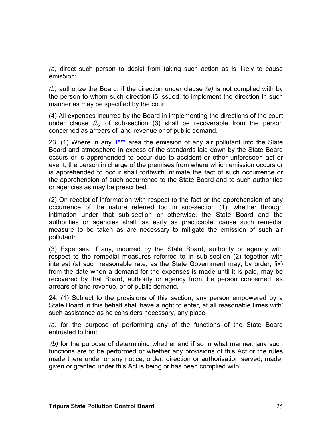*(a)* direct such person to desist from taking such action as is likely to cause emis5ion;

*(b)* authorize the Board, if the direction under clause *(a)* is not complied with by the person to whom such direction i5 issued, to implement the direction in such manner as may be specified by the court.

(4) All expenses incurred by the Board in implementing the directions of the court under clause *(b)* of sub-section (3) shall be recoverable from the person concerned as arrears of land revenue or of public demand.

23. (1) Where in any 1<sup>\*\*\*</sup> area the emission of any air pollutant into the Slate Board and atmosphere In excess of the standards laid down by the State Board occurs or is apprehended to occur due to accident or other unforeseen act or event, the person in charge of the premises from where which emission occurs or is apprehended to occur shall forthwith intimate the fact of such occurrence or the apprehension of such occurrence to the State Board and to such authorities or agencies as may be prescribed.

(2) On receipt of information with respect to the fact or the apprehension of any occurrence of the nature referred too in sub-section (1), whether through intimation under that sub-section or otherwise, the State Board and the authorities or agencies shall, as early as practicable, cause such remedial measure to be taken as are necessary to mitigate the emission of such air pollutant~,

(3) Expenses, if any, incurred by the State Board, authority or agency with respect to the remedial measures referred to in sub-section (2) together with interest (at such reasonable rate, as the State Government may, by order, fix) from the date when a demand for the expenses is made until it is paid, may be recovered by that Board, authority or agency from the person concerned, as arrears of land revenue, or of public demand.

24. (1) Subject to the provisions of this section, any person empowered by a State Board in this behalf shall have a right to enter, at all reasonable times with' such assistance as he considers necessary, any place-

*(a)* for the purpose of performing any of the functions of the State Board entrusted to him:

*'(b)* for the purpose of determining whether and if so in what manner, any such functions are to be performed or whether any provisions of this Act or the rules made there under or any notice, order, direction or authorisation served, made, given or granted under this Act is being or has been complied with;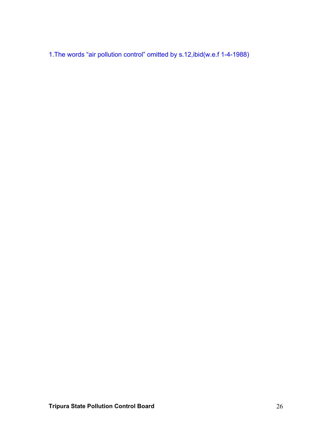1.The words "air pollution control" omitted by s.12,ibid(w.e.f 1-4-1988)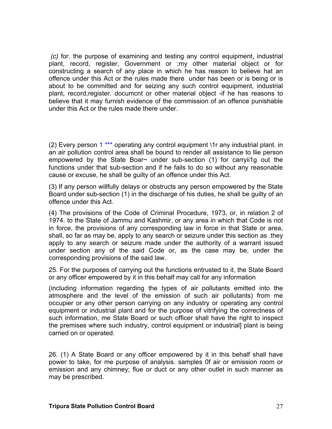*(c)* for. the purpose of examining and testing any control equipment, industrial plant, record, register, Government or ;my other material object or for constructing a search of any place in which he has reason to believe hat an offence under this Act or the rules made there under has been or is being or is about to be committed and for seizing any such control equipment, industrial plant, record,register. documcnt or other material object -if he has reasons to believe that it may furnish evidence of the commission of an offence punishable under this Act or the rules made there under.

(2) Every person 1 \*\*\* operating any control equipment \1r any industrial plant. in an air pollution control area shall be bound to render all assistance to llie person empowered by the State Boar~ under sub-section (1) for carryii1g out the functions under that sub-section and if he fails to do so without any reasonable cause or excuse, he shall be guilty of an offence under this Act.

(3) If any person willfully delays or obstructs any person empowered by the State Board under sub-section (1) in the discharge of his duties, he shall be guilty of an offence under this Act.

(4) The provisions of the Code of Criminal Procedure, 1973, or, in relation 2 of 1974. to the State of Jammu and Kashmir, or any area in which that Code is not in force, the provisions of any corresponding law in force in that State or area, shall, so far as may be, apply to any search or seizure under this section as .they apply to any search or seizure made under the authority of a warrant issued under section any of the said Code or, as the case may be, under the corresponding provisions of the said law.

25. For the purposes of carrying out the functions entrusted to it, the State Board or any officer empowered by it in this behalf may call for any information

(including information regarding the types of air pollutants emitted into the atmosphere and the level of the emission of such air pollutants) from me occupier or any other person carrying on any industry or operating any control equipment or industrial plant and for the purpose of vitrifying the correctness of such information, me State Board or such officer shall have the right to inspect the premises where such industry, control equipment or industrial] plant is being carried on or operated.

26. (1) A State Board or any officer empowered by it in this behalf shall have power to take, for me purpose of analysis. samples 0f air or emission room or emission and any chimney; flue or duct or any other outlet in such manner as may be prescribed.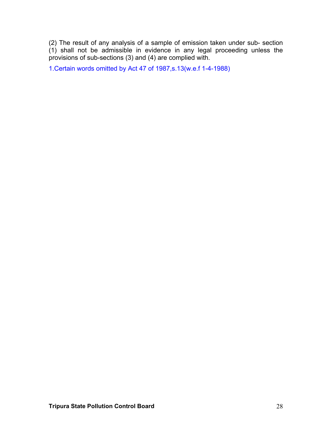(2) The result of any analysis of a sample of emission taken under sub- section (1) shall not be admissible in evidence in any legal proceeding unless the provisions of sub-sections (3) and (4) are complied with.

1.Certain words omitted by Act 47 of 1987,s.13(w.e.f 1-4-1988)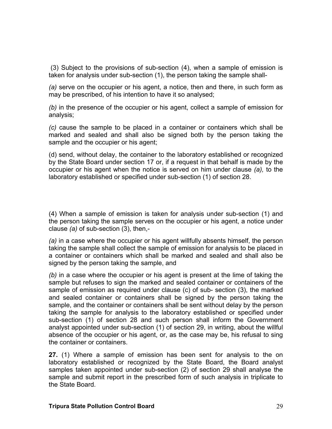(3) Subject to the provisions of sub-section (4), when a sample of emission is taken for analysis under sub-section (1), the person taking the sample shall-

*(a)* serve on the occupier or his agent, a notice, then and there, in such form as may be prescribed, of his intention to have it so analysed;

*(b)* in the presence of the occupier or his agent, collect a sample of emission for analysis;

*(c)* cause the sample to be placed in a container or containers which shall be marked and sealed and shall also be signed both by the person taking the sample and the occupier or his agent;

(d) send, without delay, the container to the laboratory established or recognized by the State Board under section 17 or, if a request in that behalf is made by the occupier or his agent when the notice is served on him under clause *(a),* to the laboratory established or specified under sub-section (1) of section 28.

(4) When a sample of emission is taken for analysis under sub-section (1) and the person taking the sample serves on the occupier or his agent, a notice under clause *(a)* of sub-section (3), then,-

*(a)* in a case where the occupier or his agent willfully absents himself, the person taking the sample shall collect the sample of emission for analysis to be placed in a container or containers which shall be marked and sealed and shall also be signed by the person taking the sample, and

*(b)* in a case where the occupier or his agent is present at the lime of taking the sample but refuses to sign the marked and sealed container or containers of the sample of emission as required under clause (c) of sub- section (3), the marked and sealed container or containers shall be signed by the person taking the sample, and the container or containers shall be sent without delay by the person taking the sample for analysis to the laboratory established or specified under sub-section (1) of section 28 and such person shall inform the Government analyst appointed under sub-section (1) of section 29, in writing, about the willful absence of the occupier or his agent, or, as the case may be, his refusal to sing the container or containers.

**27.** (1) Where a sample of emission has been sent for analysis to the on laboratory established or recognized by the State Board, the Board analyst samples taken appointed under sub-section (2) of section 29 shall analyse the sample and submit report in the prescribed form of such analysis in triplicate to the State Board.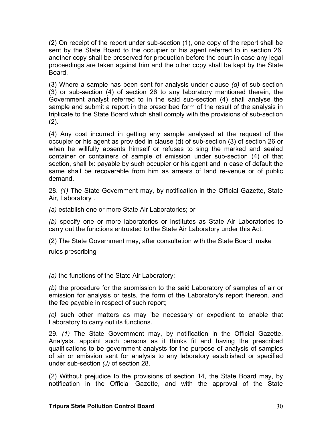(2) On receipt of the report under sub-section (1), one copy of the report shall be sent by the State Board to the occupier or his agent referred to in section 26. another copy shall be preserved for production before the court in case any legal proceedings are taken against him and the other copy shall be kept by the State **Board** 

(3) Where a sample has been sent for analysis under clause *(d)* of sub-section (3) or sub-section (4) of section 26 to any laboratory mentioned therein, the Government analyst referred to in the said sub-section (4) shall analyse the sample and submit a report in the prescribed form of the result of the analysis in triplicate to the State Board which shall comply with the provisions of sub-section (2).

(4) Any cost incurred in getting any sample analysed at the request of the occupier or his agent as provided in clause (d) of sub-section (3) of section 26 or when he willfully absents himself or refuses to sing the marked and sealed container or containers of sample of emission under sub-section (4) of that section, shall Ix: payable by such occupier or his agent and in case of default the same shall be recoverable from him as arrears of land re-venue or of public demand.

28. *(1)* The State Government may, by notification in the Official Gazette, State Air, Laboratory .

*(a)* establish one or more State Air Laboratories; or

*(b)* specify one or more laboratories or institutes as State Air Laboratories to carry out the functions entrusted to the State Air Laboratory under this Act.

(2) The State Government may, after consultation with the State Board, make

rules prescribing

*(a)* the functions of the State Air Laboratory;

*(b)* the procedure for the submission to the said Laboratory of samples of air or emission for analysis or tests, the form of the Laboratory's report thereon. and the fee payable in respect of such report;

*(c)* such other matters as may 'be necessary or expedient to enable that Laboratory to carry out its functions.

29. *(1)* The State Government may, by notification in the Official Gazette, Analysts. appoint such persons as it thinks fit and having the prescribed qualifications to be government analysts for the purpose of analysis of samples of air or emission sent for analysis to any laboratory established or specified under sub-section *(J)* of section 28.

(2) Without prejudice to the provisions of section 14, the State Board may, by notification in the Official Gazette, and with the approval of the State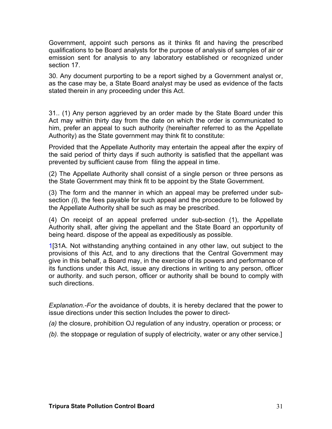Government, appoint such persons as it thinks fit and having the prescribed qualifications to be Board analysts for the purpose of analysis of samples of air or emission sent for analysis to any laboratory established or recognized under section 17.

30. Any document purporting to be a report sighed by a Government analyst or, as the case may be, a State Board analyst may be used as evidence of the facts stated therein in any proceeding under this Act.

31.. (1) Any person aggrieved by an order made by the State Board under this Act may within thirty day from the date on which the order is communicated to him, prefer an appeal to such authority (hereinafter referred to as the Appellate Authority) as the State government may think fit to constitute:

Provided that the Appellate Authority may entertain the appeal after the expiry of the said period of thirty days if such authority is satisfied that the appellant was prevented by sufficient cause from filing the appeal in time.

(2) The Appellate Authority shall consist of a single person or three persons as the State Government may think fit to be appoint by the State Government.

(3) The form and the manner in which an appeal may be preferred under subsection *(I),* the fees payable for such appeal and the procedure to be followed by the Appellate Authority shall be such as may be prescribed.

(4) On receipt of an appeal preferred under sub-section (1), the Appellate Authority shall, after giving the appellant and the State Board an opportunity of being heard. dispose of the appeal as expeditiously as possible.

1[31A. Not withstanding anything contained in any other law, out subject to the provisions of this Act, and to any directions that the Central Government may give in this behalf, a Board may, in the exercise of its powers and performance of its functions under this Act, issue any directions in writing to any person, officer or authority. and such person, officer or authority shall be bound to comply with such directions.

*Explanation.-For* the avoidance of doubts, it is hereby declared that the power to issue directions under this section Includes the power to direct-

*(a)* the closure, prohibition OJ regulation of any industry, operation or process; or

*(b).* the stoppage or regulation of supply of electricity, water or any other service.]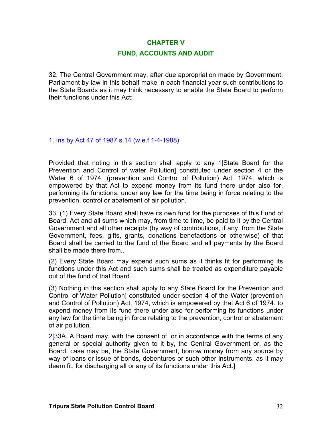# **CHAPTER V FUND, ACCOUNTS AND AUDIT**

32. The Central Government may, after due appropriation made by Government. Parliament by law in this behalf make in each financial year such contributions to the State Boards as it may think necessary to enable the State Board to perform their functions under this Act:

#### 1. Ins by Act 47 of 1987 s.14 (w.e.f 1-4-1988)

Provided that noting in this section shall apply to any 1[State Board for the Prevention and Control of water Pollution] constituted under section 4 or the Water 6 of 1974. (prevention and Control of Pollution) Act, 1974, which is empowered by that Act to expend money from its fund there under also for, performing its functions, under any law for the time being in force relating to the prevention, control or abatement of air pollution.

33. (1) Every State Board shall have its own fund for the purposes of this Fund of Board. Act and all sums which may, from time to time, be paid to it by the Central Government and all other receipts (by way of contributions, if any, from the State Government, fees, gifts, grants, donations benefactions or otherwise) of that Board shall be carried to the fund of the Board and all payments by the Board shall be made there from..

(2) Every State Board may expend such sums as it thinks fit for performing its functions under this Act and such sums shall be treated as expenditure payable out of the fund of that Board.

(3) Nothing in this section shall apply to any State Board for the Prevention and Control of Water Pollution] constituted under section 4 of the Water (prevention and Control of Pollution) Act, 1974, which is empowered by that Act 6 of 1974. to expend money from its fund there under also for performing its functions under any law for the time being in force relating to the prevention, control or abatement of air pollution.

2[33A. A Board may, with the consent of, or in accordance with the terms of any general or special authority given to it by, the Central Government or, as the Board. case may be, the State Government, borrow money from any source by way of loans or issue of bonds, debentures or such other instruments, as it may deem fit, for discharging all or any of its functions under this Act.]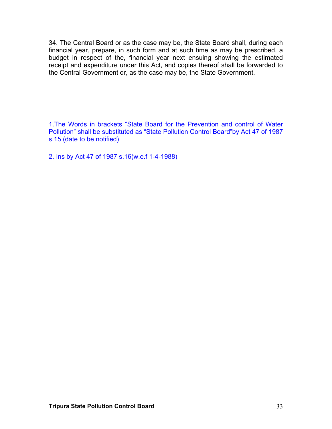34. The Central Board or as the case may be, the State Board shall, during each financial year, prepare, in such form and at such time as may be prescribed, a budget in respect of the, financial year next ensuing showing the estimated receipt and expenditure under this Act, and copies thereof shall be forwarded to the Central Government or, as the case may be, the State Government.

1.The Words in brackets "State Board for the Prevention and control of Water Pollution" shall be substituted as "State Pollution Control Board"by Act 47 of 1987 s.15 (date to be notified)

2. Ins by Act 47 of 1987 s.16(w.e.f 1-4-1988)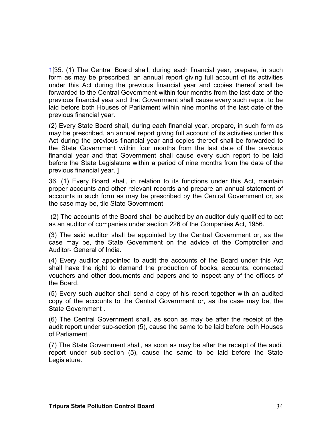1[35. (1) The Central Board shall, during each financial year, prepare, in such form as may be prescribed, an annual report giving full account of its activities under this Act during the previous financial year and copies thereof shall be forwarded to the Central Government within four months from the last date of the previous financial year and that Government shall cause every such report to be laid before both Houses of Parliament within nine months of the last date of the previous financial year.

(2) Every State Board shall, during each financial year, prepare, in such form as may be prescribed, an annual report giving full account of its activities under this Act during the previous financial year and copies thereof shall be forwarded to the State Government within four months from the last date of the previous financial year and that Government shall cause every such report to be laid before the State Legislature within a period of nine months from the date of the previous financial year. ]

36. (1) Every Board shall, in relation to its functions under this Act, maintain proper accounts and other relevant records and prepare an annual statement of accounts in such form as may be prescribed by the Central Government or, as the case may be, tile State Government

(2) The accounts of the Board shall be audited by an auditor duly qualified to act as an auditor of companies under section 226 of the Companies Act, 1956.

(3) The said auditor shall be appointed by the Central Government or, as the case may be, the State Government on the advice of the Comptroller and Auditor- General of India.

(4) Every auditor appointed to audit the accounts of the Board under this Act shall have the right to demand the production of books, accounts, connected vouchers and other documents and papers and to inspect any of the offices of the Board.

(5) Every such auditor shall send a copy of his report together with an audited copy of the accounts to the Central Government or, as the case may be, the State Government

(6) The Central Government shall, as soon as may be after the receipt of the audit report under sub-section (5), cause the same to be laid before both Houses of Parliament .

(7) The State Government shall, as soon as may be after the receipt of the audit report under sub-section (5), cause the same to be laid before the State Legislature.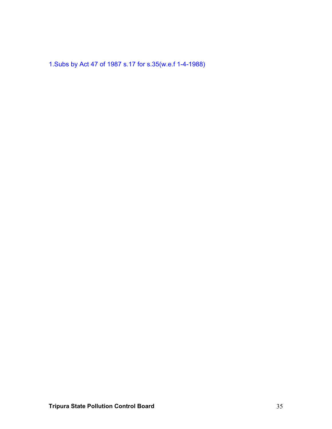1.Subs by Act 47 of 1987 s.17 for s.35(w.e.f 1-4-1988)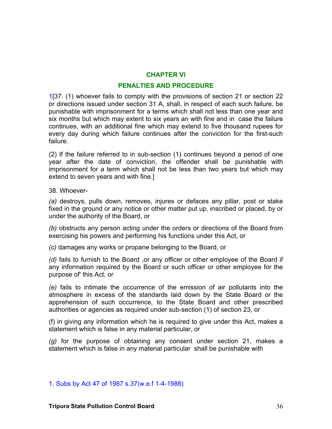#### **CHAPTER VI**

#### **PENALTIES AND PROCEDURE**

1[37. (1) whoever fails to comply with the provisions of section 21 or section 22 or directions issued under section 31 A, shall, in respect of each such failure, be punishable with imprisonment for a terms which shall not less than one year and six months but which may extent to six years an with fine and in case the failure continues, with an additional fine which may extend to five thousand rupees for every day during which failure continues after the conviction for the first-such failure.

(2) If the failure referred to in sub-section (1) continues beyond a period of one year after the date of conviction, the offender shall be punishable with imprisonment for a term which shall not be less than two years but which may extend to seven years and with fine.]

38. Whoever-

*(a)* destroys, pulls down, removes, injures or defaces any pillar, post or stake fixed in the ground or any notice or other matter put up, inscribed or placed, by or under the authority of the Board, or

*(b)* obstructs any person acting under the orders or directions of the Board from exercising his powers and performing his functions under this Act, or

*(c)* damages any works or propane belonging to the Board, or

*(d)* fails to furnish to the Board ,or any officer or other employee of the Board if any information required by the Board or such officer or other employee for the purpose of' this Act, or

*(e)* fails to intimate the occurrence of the emission of air pollutants into the atmosphere in excess of the standards laid down by the State Board or the apprehension of such occurrence, to the State Board and other prescribed authorities or agencies as required under sub-section (1) of section 23, or

(f) in giving any information which he is required to give under this Act, makes a statement which is false in any material particular, or

*(g)* for the purpose of obtaining any consent under section 21, makes a statement which is false in any material particular shall be punishable with

#### 1. Subs by Act 47 of 1987 s.37(w.e.f 1-4-1988)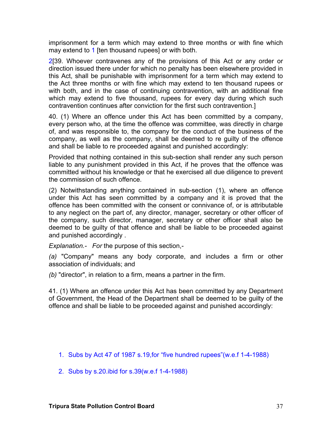imprisonment for a term which may extend to three months or with fine which may extend to 1 [ten thousand rupees] or with both.

2[39. Whoever contravenes any of the provisions of this Act or any order or direction issued there under for which no penalty has been elsewhere provided in this Act, shall be punishable with imprisonment for a term which may extend to the Act three months or with fine which may extend to ten thousand rupees or with both, and in the case of continuing contravention, with an additional fine which may extend to five thousand, rupees for every day during which such contravention continues after conviction for the first such contravention.]

40. (1) Where an offence under this Act has been committed by a company, every person who, at the time the offence was committee, was directly in charge of, and was responsible to, the company for the conduct of the business of the company, as well as the company, shall be deemed to re guilty of the offence and shall be liable to re proceeded against and punished accordingly:

Provided that nothing contained in this sub-section shall render any such person liable to any punishment provided in this Act, if he proves that the offence was committed without his knowledge or that he exercised all due diligence to prevent the commission of such offence.

(2) Notwithstanding anything contained in sub-section (1), where an offence under this Act has seen committed by a company and it is proved that the offence has been committed with the consent or connivance of, or is attributable to any neglect on the part of, any director, manager, secretary or other officer of the company, such director, manager, secretary or other officer shall also be deemed to be guilty of that offence and shall be liable to be proceeded against and punished accordingly .

*Explanation.- For* the purpose of this section,-

*(a)* "Company" means any body corporate, and includes a firm or other association of individuals; and

*(b)* "director", in relation to a firm, means a partner in the firm.

41. (1) Where an offence under this Act has been committed by any Department of Government, the Head of the Department shall be deemed to be guilty of the offence and shall be liable to be proceeded against and punished accordingly:

- 1. Subs by Act 47 of 1987 s.19,for "five hundred rupees"(w.e.f 1-4-1988)
- 2. Subs by s.20.ibid for s.39(w.e.f 1-4-1988)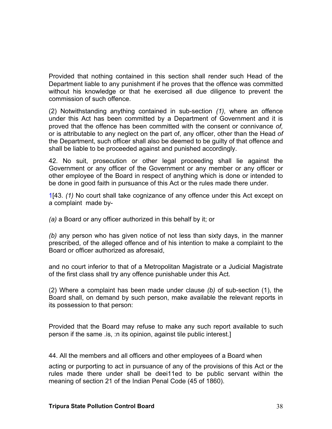Provided that nothing contained in this section shall render such Head of the Department liable to any punishment if he proves that the offence was committed without his knowledge or that he exercised all due diligence to prevent the commission of such offence.

(2) Notwithstanding anything contained in sub-section *(1),* where an offence under this Act has been committed by a Department of Government and it is proved that the offence has been committed with the consent or connivance *of,*  or is attributable to any neglect on the part of, any officer, other than the Head *of*  the Department, such officer shall also be deemed to be guilty of that offence and shall be liable to be proceeded against and punished accordingly.

42. No suit, prosecution or other legal proceeding shall lie against the Government or any officer of the Government or any member or any officer or other employee of the Board in respect of anything which is done or intended to be done in good faith in pursuance of this Act or the rules made there under.

1[43. *(1)* No court shall take cognizance of any offence under this Act except on a complaint made by-

*(a)* a Board or any officer authorized in this behalf by it; or

*(b)* any person who has given notice of not less than sixty days, in the manner prescribed, of the alleged offence and of his intention to make a complaint to the Board or officer authorized as aforesaid,

and no court inferior to that of a Metropolitan Magistrate or a Judicial Magistrate of the first class shall try any offence punishable under this Act.

(2) Where a complaint has been made under clause *(b)* of sub-section (1), the Board shall, on demand by such person, make available the relevant reports in its possession to that person:

Provided that the Board may refuse to make any such report available to such person if the same .is, :n its opinion, against tile public interest.]

44. All the members and all officers and other employees of a Board when

acting or purporting to act in pursuance of any of the provisions of this Act or the rules made there under shall be deei11ed to be public servant within the meaning of section 21 of the Indian Penal Code (45 of 1860).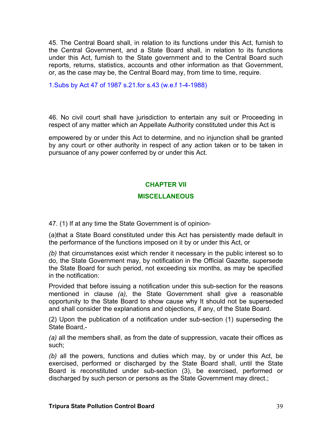45. The Central Board shall, in relation to its functions under this Act, furnish to the Central Government, and a State Board shall, in relation to its functions under this Act, furnish to the State government and to the Central Board such reports, returns, statistics, accounts and other information as that Government, or, as the case may be, the Central Board may, from time to time, require.

1.Subs by Act 47 of 1987 s.21.for s.43 (w.e.f 1-4-1988)

46. No civil court shall have jurisdiction to entertain any suit or Proceeding in respect of any matter which an Appellate Authority constituted under this Act is

empowered by or under this Act to determine, and no injunction shall be granted by any court or other authority in respect of any action taken or to be taken in pursuance of any power conferred by or under this Act.

#### **CHAPTER VII**

#### **MISCELLANEOUS**

47. (1) If at any time the State Government is of opinion-

(a)that a State Board constituted under this Act has persistently made default in the performance of the functions imposed on it by or under this Act, or

*(b)* that circumstances exist which render it necessary in the public interest so to do, the State Government may, by notification in the Official Gazette, supersede the State Board for such period, not exceeding six months, as may be specified in the notification:

Provided that before issuing a notification under this sub-section for the reasons mentioned in clause *(a),* the State Government shall give a reasonable opportunity to the State Board to show cause why It should not be superseded and shall consider the explanations and objections, if any, of the State Board.

(2) Upon the publication of a notification under sub-section (1) superseding the State Board,-

*(a)* all the members shall, as from the date of suppression, vacate their offices as such;

*(b)* all the powers, functions and duties which may, by or under this Act, be exercised, performed or discharged by the State Board shall, until the State Board is reconstituted under sub-section (3), be exercised, performed or discharged by such person or persons as the State Government may direct.;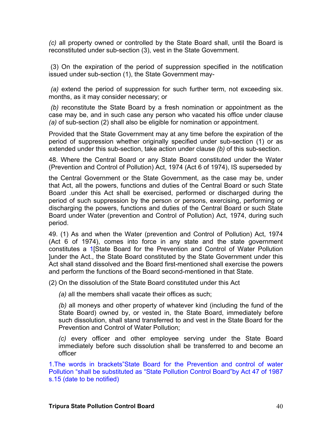*(c)* all property owned or controlled by the State Board shall, until the Board is reconstituted under sub-section (3), vest in the State Government.

(3) On the expiration of the period of suppression specified in the notification issued under sub-section (1), the State Government may-

*(a)* extend the period of suppression for such further term, not exceeding six. months, as it may consider necessary; or

 *(b)* reconstitute the State Board by a fresh nomination or appointment as the case may be, and in such case any person who vacated his office under clause *(a)* of sub-section (2) shall also be eligible for nomination or appointment.

Provided that the State Government may at any time before the expiration of the period of suppression whether originally specified under sub-section (1) or as extended under this sub-section, take action under clause *(b)* of this sub-section.

48. Where the Central Board or any State Board constituted under the Water (Prevention and Control of Pollution) Act, 1974 (Act 6 of 1974), IS superseded by

the Central Government or the State Government, as the case may be, under that Act, all the powers, functions and duties of the Central Board or such State Board .under this Act shall be exercised, performed or discharged during the period of such suppression by the person or persons, exercising, performing or discharging the powers, functions and duties of the Central Board or such State Board under Water (prevention and Control of Pollution) Act, 1974, during such period.

49. (1) As and when the Water (prevention and Control of Pollution) Act, 1974 (Act 6 of 1974), comes into force in any state and the state government constitutes a 1[State Board for the Prevention and Control of Water Pollution ]under the Act., the State Board constituted by the State Government under this Act shall stand dissolved and the Board first-mentioned shall exercise the powers and perform the functions of the Board second-mentioned in that State.

(2) On the dissolution of the State Board constituted under this Act

*(a)* all the members shall vacate their offices as such;

*(b)* all moneys and other property of whatever kind (including the fund of the State Board) owned by, or vested in, the State Board, immediately before such dissolution, shall stand transferred to and vest in the State Board for the Prevention and Control of Water Pollution;

*(c)* every officer and other employee serving under the State Board immediately before such dissolution shall be transferred to and become an officer

1.The words in brackets"State Board for the Prevention and control of water Pollution "shall be substituted as "State Pollution Control Board"by Act 47 of 1987 s.15 (date to be notified)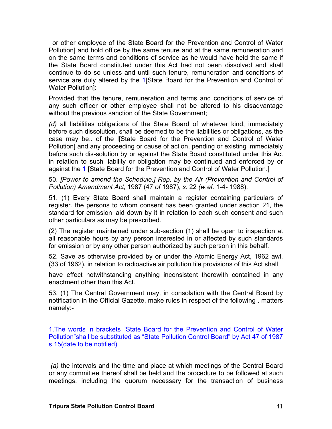or other employee of the State Board for the Prevention and Control of Water Pollution] and hold office by the same tenure and at the same remuneration and on the same terms and conditions of service as he would have held the same if the State Board constituted under this Act had not been dissolved and shall continue to do so unless and until such tenure, remuneration and conditions of service are duly altered by the 1[State Board for the Prevention and Control of Water Pollution]:

Provided that the tenure, remuneration and terms and conditions of service of any such officer or other employee shall not be altered to his disadvantage without the previous sanction of the State Government;

*(d)* all liabilities obligations of the State Board of whatever kind, immediately before such dissolution, shall be deemed to be the liabilities or obligations, as the case may be.. of the l[State Board for the Prevention and Control of Water Pollution] and any proceeding or cause of action, pending or existing immediately before such dis-solution by or against the State Board constituted under this Act in relation to such liability or obligation may be continued and enforced by or against the 1 [State Board for the Prevention and Control of Water Pollution.]

50. *[Power to amend the Schedule.] Rep. by the Air (Prevention and Control of Pollution) Amendment Act,* 1987 (47 *of* 1987), *s.* 22 *(w.ef.* 1-4- 1988).

51. (1) Every State Board shall maintain a register containing particulars of register. the persons to whom consent has been granted under section 21, the standard for emission laid down by it in relation to each such consent and such other particulars as may be prescribed.

(2) The register maintained under sub-section (1) shall be open to inspection at all reasonable hours by any person interested in or affected by such standards for emission or by any other person authorized by such person in this behalf.

52. Save as otherwise provided by or under the Atomic Energy Act, 1962 awl. (33 of 1962), in relation to radioactive air pollution tile provisions of this Act shall

have effect notwithstanding anything inconsistent therewith contained in any enactment other than this Act.

53. (1) The Central Government may, in consolation with the Central Board by notification in the Official Gazette, make rules in respect of the following . matters namely:-

1.The words in brackets "State Board for the Prevention and Control of Water Pollution"shall be substituted as "State Pollution Control Board" by Act 47 of 1987 s.15(date to be notified)

 *(a)* the intervals and the time and place at which meetings of the Central Board or any committee thereof shall be held and the procedure to be followed at such meetings. including the quorum necessary for the transaction of business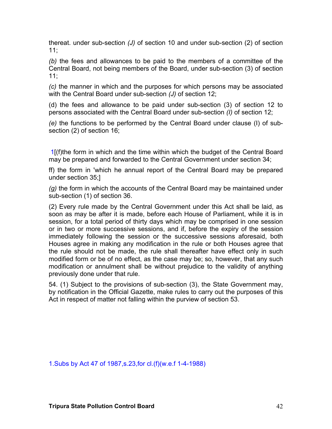thereat. under sub-section *(J)* of section 10 and under sub-section (2) of section 11;

*(b)* the fees and allowances to be paid to the members of a committee of the Central Board, not being members of the Board, under sub-section (3) of section 11;

*(c)* the manner in which and the purposes for which persons may be associated with the Central Board under sub-section *(J)* of section 12;

(d) the fees and allowance to be paid under sub-section (3) of section 12 to persons associated with the Central Board under sub-section *(I)* of section 12;

*(e)* the functions to be performed by the Central Board under clause (I) of subsection (2) of section 16;

 1[(f)the form in which and the time within which the budget of the Central Board may be prepared and forwarded to the Central Government under section 34;

ff) the form in 'which he annual report of the Central Board may be prepared under section 35;]

*(g)* the form in which the accounts of the Central Board may be maintained under sub-section (1) of section 36.

(2) Every rule made by the Central Government under this Act shall be laid, as soon as may be after it is made, before each House of Parliament, while it is in session, for a total period of thirty days which may be comprised in one session or in two or more successive sessions, and if, before the expiry of the session immediately following the session or the successive sessions aforesaid, both Houses agree in making any modification in the rule or both Houses agree that the rule should not be made, the rule shall thereafter have effect only in such modified form or be of no effect, as the case may be; so, however, that any such modification or annulment shall be without prejudice to the validity of anything previously done under that rule.

54. (1) Subject to the provisions of sub-section (3), the State Government may, by notification in the Official Gazette, make rules to carry out the purposes of this Act in respect of matter not falling within the purview of section 53.

1.Subs by Act 47 of 1987,s.23,for cl.(f)(w.e.f 1-4-1988)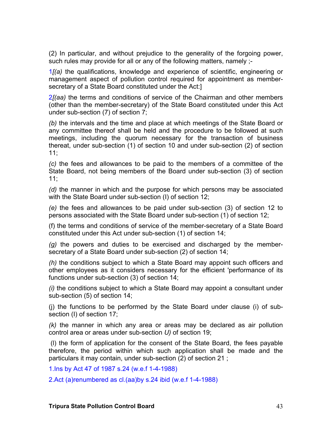(2) In particular, and without prejudice to the generality of the forgoing power, such rules may provide for all or any of the following matters, namely ;-

1*[(a)* the qualifications, knowledge and experience of scientific, engineering or management aspect of pollution control required for appointment as membersecretary of a State Board constituted under the Act:]

2*[(aa)* the terms and conditions of service of the Chairman and other members (other than the member-secretary) of the State Board constituted under this Act under sub-section (7) of section 7;

*(b)* the intervals and the time and place at which meetings of the State Board or any committee thereof shall be held and the procedure to be followed at such meetings, including the quorum necessary for the transaction of business thereat, under sub-section (1) of section 10 and under sub-section (2) of section 11;

*(c)* the fees and allowances to be paid to the members of a committee of the State Board, not being members of the Board under sub-section (3) of section 11;

*(d)* the manner in which and the purpose for which persons may be associated with the State Board under sub-section (I) of section 12;

*(e)* the fees and allowances to be paid under sub-section (3) of section 12 to persons associated with the State Board under sub-section (1) of section 12;

(f) the terms and conditions of service of the member-secretary of a State Board constituted under this Act under sub-section (1) of section 14;

*(g)* the powers and duties to be exercised and discharged by the membersecretary of a State Board under sub-section (2) of section 14;

*(h)* the conditions subject to which a State Board may appoint such officers and other employees as it considers necessary for the efficient 'performance of its functions under sub-section (3) of section 14;

*(i)* the conditions subject to which a State Board may appoint a consultant under sub-section (5) of section 14;

(j) the functions to be performed by the State Board under clause (i) of subsection (I) of section 17;

*(k)* the manner in which any area or areas may be declared as air pollution control area or areas under sub-section *U)* of section 19;

(l) the form of application for the consent of the State Board, the fees payable therefore, the period within which such application shall be made and the particulars it may contain, under sub-section (2) of section 21 ;

1.Ins by Act 47 of 1987 s.24 (w.e.f 1-4-1988)

2.Act (a)renumbered as cl.(aa)by s.24 ibid (w.e.f 1-4-1988)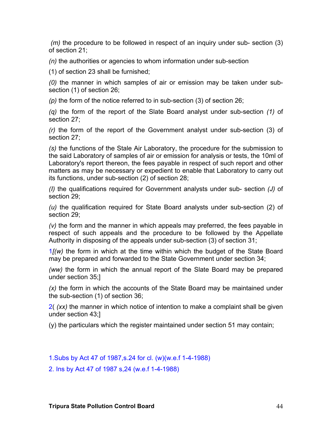*(m)* the procedure to be followed in respect of an inquiry under sub- section (3) of section 21;

*(n)* the authorities or agencies to whom information under sub-section

(1) of section 23 shall be furnished;

*(0)* the manner in which samples of air or emission may be taken under subsection (1) of section 26;

*(p)* the form of the notice referred to in sub-section (3) of section 26;

*(q)* the form of the report of the Slate Board analyst under sub-section *(1)* of section 27;

*(r)* the form of the report of the Government analyst under sub-section (3) of section 27;

*(s)* the functions of the Stale Air Laboratory, the procedure for the submission to the said Laboratory of samples of air or emission for analysis or tests, the 10ml of Laboratory's report thereon, the fees payable in respect of such report and other matters as may be necessary or expedient to enable that Laboratory to carry out its functions, under sub-section (2) of section 28;

*(I)* the qualifications required for Government analysts under sub- section *(J)* of section 29;

*(u)* the qualification required for State Board analysts under sub-section (2) of section 29;

*(v)* the form and the manner in which appeals may preferred, the fees payable in respect of such appeals and the procedure to be followed by the Appellate Authority in disposing of the appeals under sub-section (3) of section 31;

1*[(w)* the form in which at the time within which the budget of the State Board may be prepared and forwarded to the State Government under section 34;

*(ww)* the form in which the annual report of the Slate Board may be prepared under section 35;]

*(x)* the form in which the accounts of the State Board may be maintained under the sub-section (1) of section 36;

2( *(xx)* the manner in which notice of intention to make a complaint shall be given under section 43;]

(y) the particulars which the register maintained under section 51 may contain;

1.Subs by Act 47 of 1987,s.24 for cl. (w)(w.e.f 1-4-1988)

2. Ins by Act 47 of 1987 s,24 (w.e.f 1-4-1988)